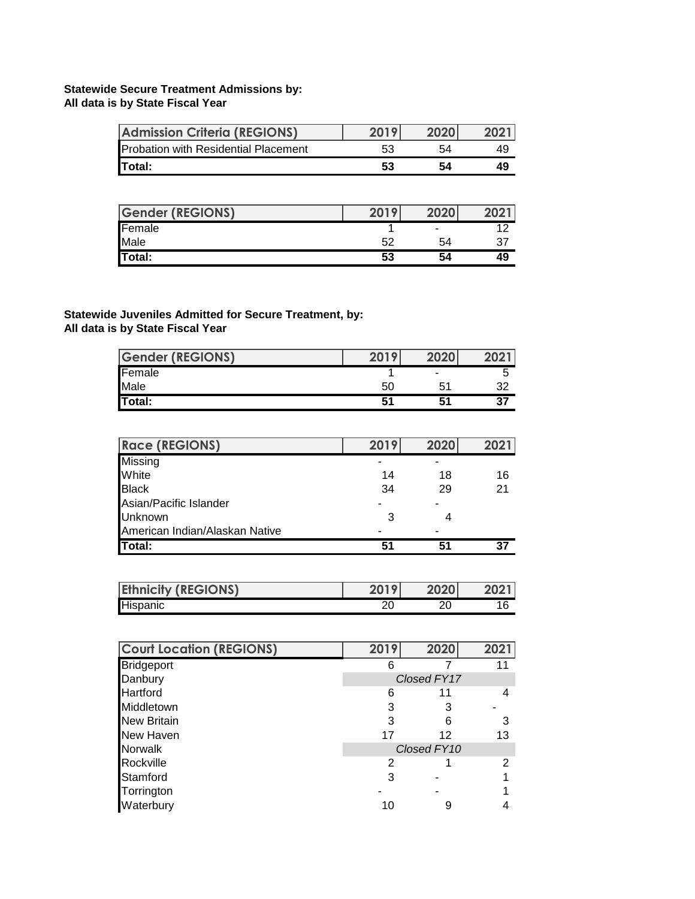## **Statewide Secure Treatment Admissions by: All data is by State Fiscal Year**

| <b>Admission Criteria (REGIONS)</b>         | 2019 | 2020 |    |
|---------------------------------------------|------|------|----|
| <b>Probation with Residential Placement</b> | 53   | 54   | 49 |
| Total:                                      | 53   | 54   | 49 |

| <b>Gender (REGIONS)</b> | 2019 | 2020           | 2021 |
|-------------------------|------|----------------|------|
| Female                  |      | $\blacksquare$ |      |
| Male                    | 52   | 54             | -37  |
| Total:                  | 53   | 54             | 49   |

## **Statewide Juveniles Admitted for Secure Treatment, by: All data is by State Fiscal Year**

| <b>Gender (REGIONS)</b> | 2019 | 2020 | 2021 |
|-------------------------|------|------|------|
| Female                  |      | ٠    |      |
| Male                    | 50   | n.   |      |
| Total:                  | -51  |      | 37   |

| <b>Race (REGIONS)</b>          | 2019 | 2020 | 2021 |
|--------------------------------|------|------|------|
| Missing                        |      |      |      |
| White                          | 14   | 18   | 16   |
| <b>Black</b>                   | 34   | 29   | 21   |
| Asian/Pacific Islander         |      |      |      |
| Unknown                        |      |      |      |
| American Indian/Alaskan Native |      |      |      |
| <b>Total:</b>                  | 51   |      | 37   |

| <b>Ethnicity (REGIONS)</b> | <b>2010</b> | 2020 | ר רחר |
|----------------------------|-------------|------|-------|
| Hispanic                   | or          |      |       |

| <b>Court Location (REGIONS)</b> | 2019        | 2020        | 2021 |  |
|---------------------------------|-------------|-------------|------|--|
| <b>Bridgeport</b>               |             |             | 11   |  |
| Danbury                         |             | Closed FY17 |      |  |
| Hartford                        | 6           | 11          |      |  |
| Middletown                      | 3           |             |      |  |
| <b>New Britain</b>              | 3           | 6           | 3    |  |
| New Haven                       | 17          | 12          | 13   |  |
| Norwalk                         | Closed FY10 |             |      |  |
| Rockville                       | 2           |             | 2    |  |
| Stamford                        | 3           |             |      |  |
| Torrington                      |             |             |      |  |
| Waterbury                       | 10          | 9           |      |  |